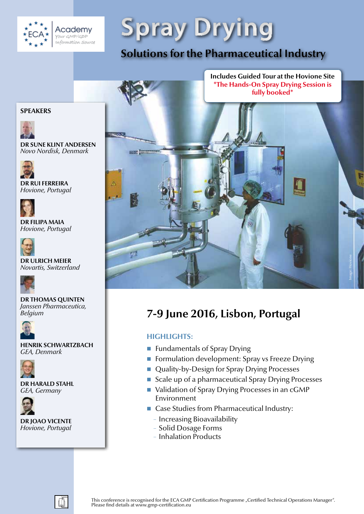

**Spray Drying**

**Solutions for the Pharmaceutical Industry** 



# **7-9 June 2016, Lisbon, Portugal**

# **HIGHLIGHTS:**

- **Fundamentals of Spray Drying**
- **Fig. 3** Formulation development: Spray vs Freeze Drying
- Quality-by-Design for Spray Drying Processes
- Scale up of a pharmaceutical Spray Drying Processes
- Validation of Spray Drying Processes in an cGMP Environment
- Case Studies from Pharmaceutical Industry:
	- − Increasing Bioavailability
	- − Solid Dosage Forms
	- − Inhalation Products

# **SPEAKERS**



**DR SUNE KLINT ANDERSEN** *Novo Nordisk, Denmark*



**DR RUI FERREIRA** *Hovione, Portugal*



**DR FILIPA MAIA** *Hovione, Portugal*



**DR ULRICH MEIER** *Novartis, Switzerland*



**DR THOMAS QUINTEN** *Janssen Pharmaceutica, Belgium*



**HENRIK SCHWARTZBACH** *GEA, Denmark* 



**DR HARALD STAHL** *GEA, Germany*



**DR JOAO VICENTE** *Hovione, Portugal*

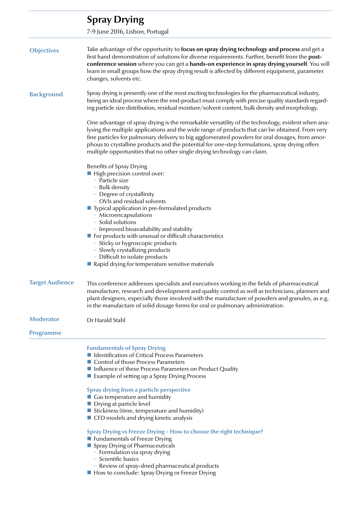| <b>Spray Drying</b>                                                                                                                                                                                                                                                                                                                                                                                                                                                                                                                                                                                                                                                                                                                                             |
|-----------------------------------------------------------------------------------------------------------------------------------------------------------------------------------------------------------------------------------------------------------------------------------------------------------------------------------------------------------------------------------------------------------------------------------------------------------------------------------------------------------------------------------------------------------------------------------------------------------------------------------------------------------------------------------------------------------------------------------------------------------------|
| 7-9 June 2016, Lisbon, Portugal                                                                                                                                                                                                                                                                                                                                                                                                                                                                                                                                                                                                                                                                                                                                 |
| Take advantage of the opportunity to focus on spray drying technology and process and get a<br>first hand demonstration of solutions for diverse requirements. Further, benefit from the post-<br>conference session where you can get a hands-on experience in spray drying yourself. You will<br>learn in small groups how the spray drying result is affected by different equipment, parameter<br>changes, solvents etc.                                                                                                                                                                                                                                                                                                                                    |
| Spray drying is presently one of the most exciting technologies for the pharmaceutical industry,<br>being an ideal process where the end-product must comply with precise quality standards regard-<br>ing particle size distribution, residual moisture/solvent content, bulk density and morphology.                                                                                                                                                                                                                                                                                                                                                                                                                                                          |
| One advantage of spray drying is the remarkable versatility of the technology, evident when ana-<br>lysing the multiple applications and the wide range of products that can be obtained. From very<br>fine particles for pulmonary delivery to big agglomerated powders for oral dosages, from amor-<br>phous to crystalline products and the potential for one-step formulations, spray drying offers<br>multiple opportunities that no other single drying technology can claim.                                                                                                                                                                                                                                                                             |
| <b>Benefits of Spray Drying</b><br>High precision control over:<br>- Particle size<br>- Bulk density<br>- Degree of crystallinity<br>- OVIs and residual solvents<br>■ Typical application in pre-formulated products<br>- Microencapsulations<br>- Solid solutions<br>- Improved bioavailability and stability<br>For products with unusual or difficult characteristics<br>- Sticky or hygroscopic products<br>- Slowly crystallizing products<br>- Difficult to isolate products<br>Rapid drying for temperature sensitive materials                                                                                                                                                                                                                         |
| This conference addresses specialists and executives working in the fields of pharmaceutical<br>manufacture, research and development and quality control as well as technicians, planners and<br>plant designers, especially those involved with the manufacture of powders and granules, as e.g.<br>in the manufacture of solid dosage forms for oral or pulmonary administration.                                                                                                                                                                                                                                                                                                                                                                            |
| Dr Harald Stahl                                                                                                                                                                                                                                                                                                                                                                                                                                                                                                                                                                                                                                                                                                                                                 |
|                                                                                                                                                                                                                                                                                                                                                                                                                                                                                                                                                                                                                                                                                                                                                                 |
| <b>Fundamentals of Spray Drying</b><br>I Identification of Critical Process Parameters<br>Control of those Process Parameters<br>Influence of these Process Parameters on Product Quality<br>■ Example of setting up a Spray Drying Process<br><b>Spray drying from a particle perspective</b><br>Gas temperature and humidity<br>Drying at particle level<br>Stickiness (time, temperature and humidity)<br>■ CFD models and drying kinetic analysis<br>Spray Drying vs Freeze Drying - How to choose the right technique?<br>Fundamentals of Freeze Drying<br>Spray Drying of Pharmaceuticals<br>- Formulation via spray drying<br>- Scientific basics<br>- Review of spray-dried pharmaceutical products<br>■ How to conclude: Spray Drying or Freeze Drying |
|                                                                                                                                                                                                                                                                                                                                                                                                                                                                                                                                                                                                                                                                                                                                                                 |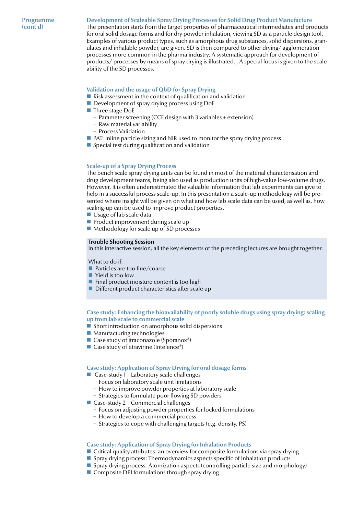# **Development of Scaleable Spray Drying Processes for Solid Drug Product Manufacture**

The presentation starts from the target properties of pharmaceutical intermediates and products for oral solid dosage forms and for dry powder inhalation, viewing SD as a particle design tool. Examples of various product types, such as amorphous drug substances, solid dispersions, granulates and inhalable powder, are given. SD is then compared to other drying/ agglomeration processes more common in the pharma industry. A systematic approach for development of products/ processes by means of spray drying is illustrated. , A special focus is given to the scaleability of the SD processes.

# **Validation and the usage of QbD for Spray Drying**

- Risk assessment in the context of qualification and validation
- Development of spray drying process using DoE
- $\blacksquare$  Three stage DoE
	- − Parameter screening (CCF design with 3 variables + extension)
	- − Raw material variability
	- − Process Validation
- **PAT:** Inline particle sizing and NIR used to monitor the spray drying process
- $\blacksquare$  Special test during qualification and validation

#### **Scale-up of a Spray Drying Process**

The bench scale spray drying units can be found in most of the material characterisation and drug development teams, being also used as production units of high-value low-volume drugs. However, it is often underestimated the valuable information that lab experiments can give to help in a successful process scale-up. In this presentation a scale-up methodology will be presented where insight will be given on what and how lab scale data can be used, as well as, how scaling-up can be used to improve product properties.

- Usage of lab scale data
- **Product improvement during scale up**
- Methodology for scale up of SD processes

#### **Trouble Shooting Session**

In this interactive session, all the key elements of the preceding lectures are brought together.

What to do if:

- $\blacksquare$  Particles are too fine/coarse
- Yield is too low
- $\blacksquare$  Final product moisture content is too high
- Different product characteristics after scale up

#### **Case study: Enhancing the bioavailability of poorly soluble drugs using spray drying: scaling up from lab scale to commercial scale**

- Short introduction on amorphous solid dispersions
- Manufacturing technologies
- Case study of itraconazole (Sporanox<sup>®</sup>)
- Case study of etravirine (Intelence<sup>®</sup>)

#### **Case study: Application of Spray Drying for oral dosage forms**

- Case-study 1 Laboratory scale challenges
	- − Focus on laboratory scale unit limitations
	- − How to improve powder properties at laboratory scale
	- Strategies to formulate poor flowing SD powders
- Case-study 2 Commercial challenges
	- − Focus on adjusting powder properties for locked formulations
	- − How to develop a commercial process
	- Strategies to cope with challenging targets (e.g. density, PS)

# **Case study: Application of Spray Drying for Inhalation Products**

- **Critical quality attributes: an overview for composite formulations via spray drying**
- **Spray drying process: Thermodynamics aspects specific of Inhalation products**
- **Spray drying process: Atomization aspects (controlling particle size and morphology)**
- $\blacksquare$  Composite DPI formulations through spray drying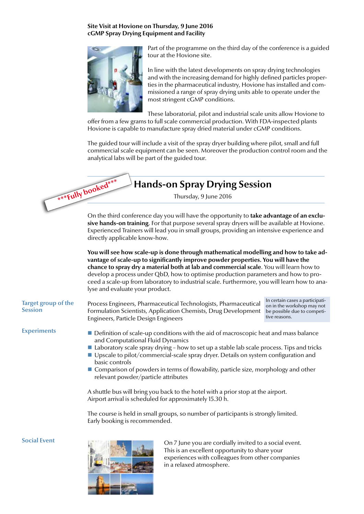# **Site Visit at Hovione on Thursday, 9 June 2016 cGMP Spray Drying Equipment and Facility**



Part of the programme on the third day of the conference is a guided tour at the Hovione site.

In line with the latest developments on spray drying technologies and with the increasing demand for highly defined particles properties in the pharmaceutical industry, Hovione has installed and commissioned a range of spray drying units able to operate under the most stringent cGMP conditions.

These laboratorial, pilot and industrial scale units allow Hovione to

offer from a few grams to full scale commercial production. With FDA-inspected plants Hovione is capable to manufacture spray dried material under cGMP conditions.

The guided tour will include a visit of the spray dryer building where pilot, small and full commercial scale equipment can be seen. Moreover the production control room and the analytical labs will be part of the guided tour.



On the third conference day you will have the opportunity to **take advantage of an exclusive hands-on training**. For that purpose several spray dryers will be available at Hovione. Experienced Trainers will lead you in small groups, providing an intensive experience and directly applicable know-how.

**You will see how scale-up is done through mathematical modelling and how to take advantage of scale-up to significantly improve powder properties. You will have the chance to spray dry a material both at lab and commercial scale**. You will learn how to develop a process under QbD, how to optimise production parameters and how to proceed a scale-up from laboratory to industrial scale. Furthermore, you will learn how to analyse and evaluate your product.

## **Target group of the Session**

**Experiments**

Formulation Scientists, Application Chemists, Drug Development Engineers, Particle Design Engineers

Process Engineers, Pharmaceutical Technologists, Pharmaceutical

In certain cases a participation in the workshop may not be possible due to competitive reasons.

- Definition of scale-up conditions with the aid of macroscopic heat and mass balance and Computational Fluid Dynamics
- **Laboratory scale spray drying how to set up a stable lab scale process. Tips and tricks**
- Upscale to pilot/commercial-scale spray dryer. Details on system configuration and basic controls
- Comparison of powders in terms of flowability, particle size, morphology and other relevant powder/particle attributes

A shuttle bus will bring you back to the hotel with a prior stop at the airport. Airport arrival is scheduled for approximately 15.30 h.

The course is held in small groups, so number of participants is strongly limited. Early booking is recommended.

**Social Event**



On 7 June you are cordially invited to a social event. This is an excellent opportunity to share your experiences with colleagues from other companies in a relaxed atmosphere.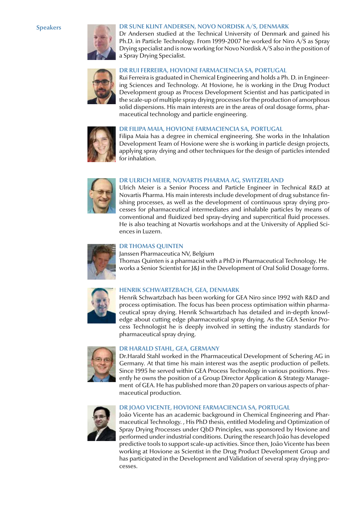# **Speakers**



# **DR SUNE KLINT ANDERSEN, NOVO NORDISK A/S, DENMARK**

Dr Andersen studied at the Technical University of Denmark and gained his Ph.D. in Particle Technology. From 1999-2007 he worked for Niro A/S as Spray Drying specialist and is now working for Novo Nordisk A/S also in the position of a Spray Drying Specialist.



# **DR RUI FERREIRA, HOVIONE FARMACIENCIA SA, PORTUGAL**

Rui Ferreira is graduated in Chemical Engineering and holds a Ph. D. in Engineering Sciences and Technology. At Hovione, he is working in the Drug Product Development group as Process Development Scientist and has participated in the scale-up of multiple spray drying processes for the production of amorphous solid dispersions. His main interests are in the areas of oral dosage forms, pharmaceutical technology and particle engineering.



# **DR FILIPA MAIA, HOVIONE FARMACIENCIA SA, PORTUGAL**

Filipa Maia has a degree in chemical engineering. She works in the Inhalation Development Team of Hovione were she is working in particle design projects, applying spray drying and other techniques for the design of particles intended for inhalation.



#### **DR ULRICH MEIER, NOVARTIS PHARMA AG, SWITZERLAND**

Ulrich Meier is a Senior Process and Particle Engineer in Technical R&D at Novartis Pharma. His main interests include development of drug substance finishing processes, as well as the development of continuous spray drying processes for pharmaceutical intermediates and inhalable particles by means of conventional and fluidized bed spray-drying and supercritical fluid processes. He is also teaching at Novartis workshops and at the University of Applied Sciences in Luzern.



# **DR THOMAS QUINTEN**

Janssen Pharmaceutica NV, Belgium Thomas Quinten is a pharmacist with a PhD in Pharmaceutical Technology. He works a Senior Scientist for J&J in the Development of Oral Solid Dosage forms.



# **HENRIK SCHWARTZBACH, GEA, DENMARK**

Henrik Schwartzbach has been working for GEA Niro since 1992 with R&D and process optimisation. The focus has been process optimisation within pharmaceutical spray drying. Henrik Schwartzbach has detailed and in-depth knowledge about cutting edge pharmaceutical spray drying. As the GEA Senior Process Technologist he is deeply involved in setting the industry standards for pharmaceutical spray drying.



#### **DR HARALD STAHL, GEA, GERMANY**

Dr.Harald Stahl worked in the Pharmaceutical Development of Schering AG in Germany. At that time his main interest was the aseptic production of pellets. Since 1995 he served within GEA Process Technology in various positions. Presently he owns the position of a Group Director Application & Strategy Management of GEA. He has published more than 20 papers on various aspects of pharmaceutical production.



#### **DR JOAO VICENTE, HOVIONE FARMACIENCIA SA, PORTUGAL**

João Vicente has an academic background in Chemical Engineering and Pharmaceutical Technology. , His PhD thesis, entitled Modeling and Optimization of Spray Drying Processes under QbD Principles, was sponsored by Hovione and performed under industrial conditions. During the research João has developed predictive tools to support scale-up activities. Since then, João Vicente has been working at Hovione as Scientist in the Drug Product Development Group and has participated in the Development and Validation of several spray drying processes.